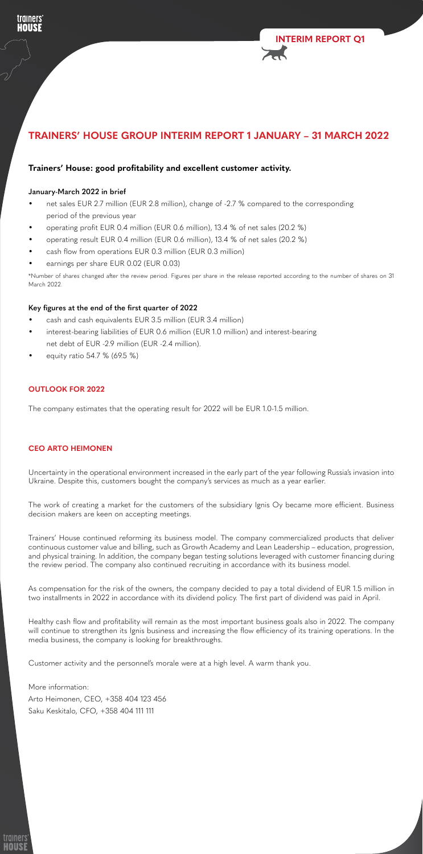

**INTERIM REPORT Q1**

# **TRAINERS' HOUSE GROUP INTERIM REPORT 1 JANUARY – 31 MARCH 2022**

# **Trainers' House: good profitability and excellent customer activity.**

#### **January-March 2022 in brief**

- net sales EUR 2.7 million (EUR 2.8 million), change of -2.7 % compared to the corresponding period of the previous year
- operating profit EUR 0.4 million (EUR 0.6 million), 13.4 % of net sales (20.2 %)
- operating result EUR 0.4 million (EUR 0.6 million), 13.4 % of net sales (20.2 %)
- cash flow from operations EUR 0.3 million (EUR 0.3 million)
- earnings per share EUR 0.02 (EUR 0.03)

\*Number of shares changed after the review period. Figures per share in the release reported according to the number of shares on 31 March 2022.

#### **Key figures at the end of the first quarter of 2022**

- **•** cash and cash equivalents EUR 3.5 million (EUR 3.4 million)
- interest-bearing liabilities of EUR 0.6 million (EUR 1.0 million) and interest-bearing net debt of EUR -2.9 million (EUR -2.4 million).
- equity ratio 54.7 % (69.5 %)

#### **OUTLOOK FOR 2022**

The company estimates that the operating result for 2022 will be EUR 1.0-1.5 million.

#### **CEO ARTO HEIMONEN**

Uncertainty in the operational environment increased in the early part of the year following Russia's invasion into Ukraine. Despite this, customers bought the company's services as much as a year earlier.

The work of creating a market for the customers of the subsidiary Ignis Oy became more efficient. Business decision makers are keen on accepting meetings.

Trainers' House continued reforming its business model. The company commercialized products that deliver continuous customer value and billing, such as Growth Academy and Lean Leadership – education, progression, and physical training. In addition, the company began testing solutions leveraged with customer financing during the review period. The company also continued recruiting in accordance with its business model.

As compensation for the risk of the owners, the company decided to pay a total dividend of EUR 1.5 million in two installments in 2022 in accordance with its dividend policy. The first part of dividend was paid in April.

Healthy cash flow and profitability will remain as the most important business goals also in 2022. The company will continue to strengthen its Ignis business and increasing the flow efficiency of its training operations. In the media business, the company is looking for breakthroughs.

Customer activity and the personnel's morale were at a high level. A warm thank you.

More information: Arto Heimonen, CEO, +358 404 123 456 Saku Keskitalo, CFO, +358 404 111 111

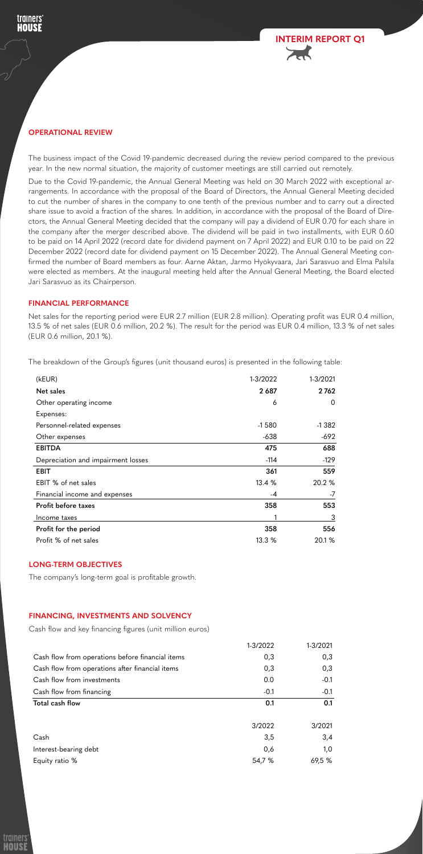#### **FINANCIAL PERFORMANCE**

Net sales for the reporting period were EUR 2.7 million (EUR 2.8 million). Operating profit was EUR 0.4 million, 13.5 % of net sales (EUR 0.6 million, 20.2 %). The result for the period was EUR 0.4 million, 13.3 % of net sales (EUR 0.6 million, 20.1 %).

The breakdown of the Group's figures (unit thousand euros) is presented in the following table:



| (kEUR)                             | 1-3/2022 | 1-3/2021       |
|------------------------------------|----------|----------------|
| <b>Net sales</b>                   | 2 6 8 7  | 2762           |
| Other operating income             | 6        | $\overline{0}$ |
| Expenses:                          |          |                |
| Personnel-related expenses         | $-1580$  | $-1382$        |
| Other expenses                     | $-638$   | $-692$         |
| <b>EBITDA</b>                      | 475      | 688            |
| Depreciation and impairment losses | $-114$   | $-129$         |
| <b>EBIT</b>                        | 361      | 559            |
| EBIT % of net sales                | 13.4 %   | 20.2 %         |
| Financial income and expenses      | $-4$     | $-7$           |
| Profit before taxes                | 358      | 553            |
| Income taxes                       |          | 3              |
| Profit for the period              | 358      | 556            |
| Profit % of net sales              | 13.3 %   | 20.1 %         |

### **LONG-TERM OBJECTIVES**

The company's long-term goal is profitable growth.

# **FINANCING, INVESTMENTS AND SOLVENCY**

Cash flow and key financing figures (unit million euros)

|                                                  | 1-3/2022 | 1-3/2021 |
|--------------------------------------------------|----------|----------|
| Cash flow from operations before financial items | 0,3      | 0,3      |
| Cash flow from operations after financial items  | 0,3      | 0,3      |
| Cash flow from investments                       | 0.0      | $-0.1$   |
| Cash flow from financing                         | $-0.1$   | $-0.1$   |
| Total cash flow                                  | 0.1      | 0.1      |
|                                                  | 3/2022   | 3/2021   |
| Cash                                             | 3,5      | 3,4      |
| Interest-bearing debt                            | 0,6      | 1,0      |
| Equity ratio %                                   | 54,7 %   | 69,5%    |



# **OPERATIONAL REVIEW**

trainers **HOUSE** 

> The business impact of the Covid 19-pandemic decreased during the review period compared to the previous year. In the new normal situation, the majority of customer meetings are still carried out remotely.

> Due to the Covid 19-pandemic, the Annual General Meeting was held on 30 March 2022 with exceptional arrangements. In accordance with the proposal of the Board of Directors, the Annual General Meeting decided to cut the number of shares in the company to one tenth of the previous number and to carry out a directed share issue to avoid a fraction of the shares. In addition, in accordance with the proposal of the Board of Directors, the Annual General Meeting decided that the company will pay a dividend of EUR 0.70 for each share in the company after the merger described above. The dividend will be paid in two installments, with EUR 0.60 to be paid on 14 April 2022 (record date for dividend payment on 7 April 2022) and EUR 0.10 to be paid on 22 December 2022 (record date for dividend payment on 15 December 2022). The Annual General Meeting confirmed the number of Board members as four. Aarne Aktan, Jarmo Hyökyvaara, Jari Sarasvuo and Elma Palsila were elected as members. At the inaugural meeting held after the Annual General Meeting, the Board elected Jari Sarasvuo as its Chairperson.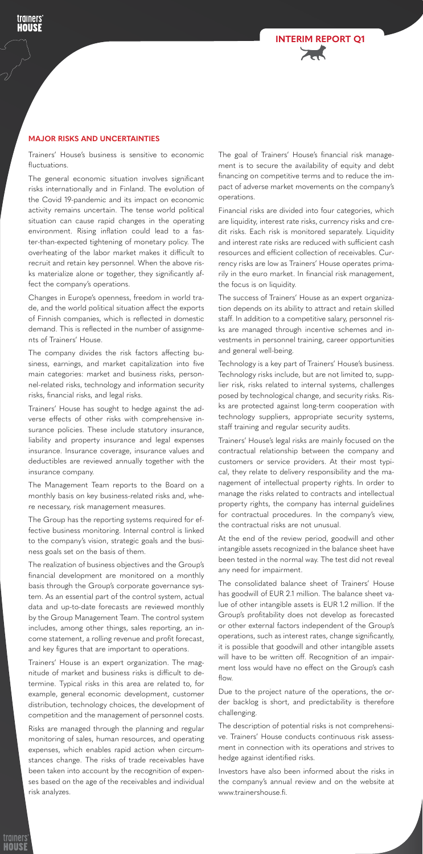Trainers' House's business is sensitive to economic fluctuations.

The general economic situation involves significant risks internationally and in Finland. The evolution of the Covid 19-pandemic and its impact on economic activity remains uncertain. The tense world political situation can cause rapid changes in the operating environment. Rising inflation could lead to a faster-than-expected tightening of monetary policy. The overheating of the labor market makes it difficult to recruit and retain key personnel. When the above risks materialize alone or together, they significantly affect the company's operations.

Changes in Europe's openness, freedom in world trade, and the world political situation affect the exports of Finnish companies, which is reflected in domestic demand. This is reflected in the number of assignments of Trainers' House.

The company divides the risk factors affecting business, earnings, and market capitalization into five main categories: market and business risks, personnel-related risks, technology and information security risks, financial risks, and legal risks.

Trainers' House has sought to hedge against the adverse effects of other risks with comprehensive insurance policies. These include statutory insurance, liability and property insurance and legal expenses insurance. Insurance coverage, insurance values and deductibles are reviewed annually together with the insurance company.

The Management Team reports to the Board on a monthly basis on key business-related risks and, where necessary, risk management measures.

The Group has the reporting systems required for effective business monitoring. Internal control is linked to the company's vision, strategic goals and the business goals set on the basis of them.

The realization of business objectives and the Group's financial development are monitored on a monthly basis through the Group's corporate governance system. As an essential part of the control system, actual data and up-to-date forecasts are reviewed monthly by the Group Management Team. The control system includes, among other things, sales reporting, an income statement, a rolling revenue and profit forecast, and key figures that are important to operations.

Trainers' House is an expert organization. The magnitude of market and business risks is difficult to determine. Typical risks in this area are related to, for example, general economic development, customer distribution, technology choices, the development of competition and the management of personnel costs.

Risks are managed through the planning and regular monitoring of sales, human resources, and operating expenses, which enables rapid action when circumstances change. The risks of trade receivables have been taken into account by the recognition of expenses based on the age of the receivables and individual risk analyzes.

The goal of Trainers' House's financial risk management is to secure the availability of equity and debt financing on competitive terms and to reduce the impact of adverse market movements on the company's operations.

Financial risks are divided into four categories, which are liquidity, interest rate risks, currency risks and credit risks. Each risk is monitored separately. Liquidity and interest rate risks are reduced with sufficient cash resources and efficient collection of receivables. Currency risks are low as Trainers' House operates primarily in the euro market. In financial risk management, the focus is on liquidity.

The success of Trainers' House as an expert organization depends on its ability to attract and retain skilled staff. In addition to a competitive salary, personnel risks are managed through incentive schemes and investments in personnel training, career opportunities and general well-being.

Technology is a key part of Trainers' House's business. Technology risks include, but are not limited to, supplier risk, risks related to internal systems, challenges posed by technological change, and security risks. Risks are protected against long-term cooperation with technology suppliers, appropriate security systems, staff training and regular security audits.

Trainers' House's legal risks are mainly focused on the contractual relationship between the company and customers or service providers. At their most typical, they relate to delivery responsibility and the management of intellectual property rights. In order to manage the risks related to contracts and intellectual property rights, the company has internal guidelines for contractual procedures. In the company's view, the contractual risks are not unusual.

At the end of the review period, goodwill and other intangible assets recognized in the balance sheet have been tested in the normal way. The test did not reveal any need for impairment.

The consolidated balance sheet of Trainers' House has goodwill of EUR 2.1 million. The balance sheet value of other intangible assets is EUR 1.2 million. If the Group's profitability does not develop as forecasted or other external factors independent of the Group's operations, such as interest rates, change significantly, it is possible that goodwill and other intangible assets will have to be written off. Recognition of an impairment loss would have no effect on the Group's cash flow.

Due to the project nature of the operations, the order backlog is short, and predictability is therefore challenging.

The description of potential risks is not comprehensive. Trainers' House conducts continuous risk assessment in connection with its operations and strives to hedge against identified risks.

Investors have also been informed about the risks in the company's annual review and on the website at www.trainershouse.fi.





#### **MAJOR RISKS AND UNCERTAINTIES**

udiners HOUSE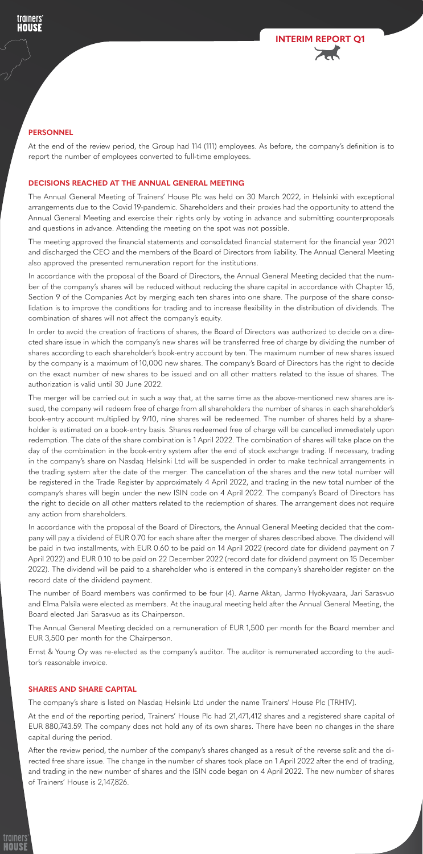# **PERSONNEL**

trainers HOUSE

> At the end of the review period, the Group had 114 (111) employees. As before, the company's definition is to report the number of employees converted to full-time employees.

# **DECISIONS REACHED AT THE ANNUAL GENERAL MEETING**

The Annual General Meeting of Trainers' House Plc was held on 30 March 2022, in Helsinki with exceptional arrangements due to the Covid 19-pandemic. Shareholders and their proxies had the opportunity to attend the Annual General Meeting and exercise their rights only by voting in advance and submitting counterproposals and questions in advance. Attending the meeting on the spot was not possible.

The meeting approved the financial statements and consolidated financial statement for the financial year 2021 and discharged the CEO and the members of the Board of Directors from liability. The Annual General Meeting also approved the presented remuneration report for the institutions.

In accordance with the proposal of the Board of Directors, the Annual General Meeting decided that the number of the company's shares will be reduced without reducing the share capital in accordance with Chapter 15, Section 9 of the Companies Act by merging each ten shares into one share. The purpose of the share consolidation is to improve the conditions for trading and to increase flexibility in the distribution of dividends. The combination of shares will not affect the company's equity.

In order to avoid the creation of fractions of shares, the Board of Directors was authorized to decide on a directed share issue in which the company's new shares will be transferred free of charge by dividing the number of shares according to each shareholder's book-entry account by ten. The maximum number of new shares issued by the company is a maximum of 10,000 new shares. The company's Board of Directors has the right to decide on the exact number of new shares to be issued and on all other matters related to the issue of shares. The authorization is valid until 30 June 2022.

The merger will be carried out in such a way that, at the same time as the above-mentioned new shares are issued, the company will redeem free of charge from all shareholders the number of shares in each shareholder's book-entry account multiplied by 9/10, nine shares will be redeemed. The number of shares held by a shareholder is estimated on a book-entry basis. Shares redeemed free of charge will be cancelled immediately upon redemption. The date of the share combination is 1 April 2022. The combination of shares will take place on the day of the combination in the book-entry system after the end of stock exchange trading. If necessary, trading in the company's share on Nasdaq Helsinki Ltd will be suspended in order to make technical arrangements in the trading system after the date of the merger. The cancellation of the shares and the new total number will be registered in the Trade Register by approximately 4 April 2022, and trading in the new total number of the company's shares will begin under the new ISIN code on 4 April 2022. The company's Board of Directors has the right to decide on all other matters related to the redemption of shares. The arrangement does not require any action from shareholders.

In accordance with the proposal of the Board of Directors, the Annual General Meeting decided that the company will pay a dividend of EUR 0.70 for each share after the merger of shares described above. The dividend will be paid in two installments, with EUR 0.60 to be paid on 14 April 2022 (record date for dividend payment on 7 April 2022) and EUR 0.10 to be paid on 22 December 2022 (record date for dividend payment on 15 December 2022). The dividend will be paid to a shareholder who is entered in the company's shareholder register on the record date of the dividend payment.

The number of Board members was confirmed to be four (4). Aarne Aktan, Jarmo Hyökyvaara, Jari Sarasvuo and Elma Palsila were elected as members. At the inaugural meeting held after the Annual General Meeting, the Board elected Jari Sarasvuo as its Chairperson.

The Annual General Meeting decided on a remuneration of EUR 1,500 per month for the Board member and EUR 3,500 per month for the Chairperson.

Ernst & Young Oy was re-elected as the company's auditor. The auditor is remunerated according to the auditor's reasonable invoice.

# **SHARES AND SHARE CAPITAL**

uners

The company's share is listed on Nasdaq Helsinki Ltd under the name Trainers' House Plc (TRH1V).

At the end of the reporting period, Trainers' House Plc had 21,471,412 shares and a registered share capital of EUR 880,743.59. The company does not hold any of its own shares. There have been no changes in the share capital during the period.

After the review period, the number of the company's shares changed as a result of the reverse split and the directed free share issue. The change in the number of shares took place on 1 April 2022 after the end of trading, and trading in the new number of shares and the ISIN code began on 4 April 2022. The new number of shares of Trainers' House is 2,147,826.

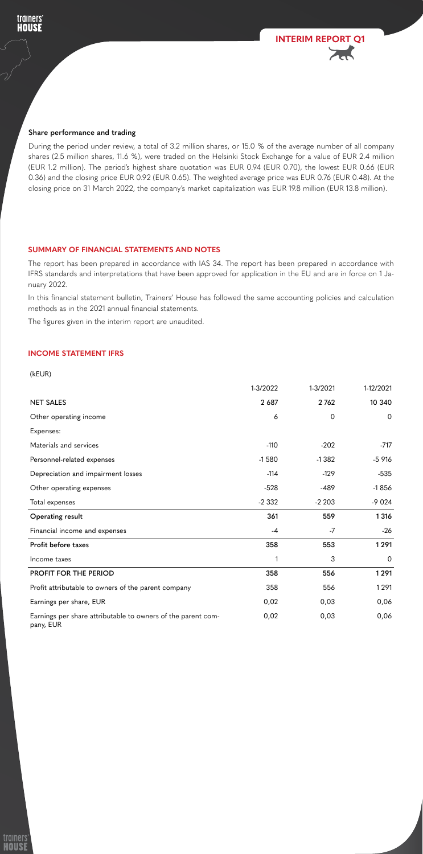# **INCOME STATEMENT IFRS**



(kEUR)

|                        | 1-3/2022 | 1-3/2021 | 1-12/2021      |
|------------------------|----------|----------|----------------|
| <b>NET SALES</b>       | 2 687    | 2762     | 10 340         |
| Other operating income | 6        | 0        | $\overline{0}$ |
| Expenses:              |          |          |                |
| Materials and services | $-110$   | $-202$   | $-717$         |

| Personnel-related expenses                                                | $-1580$ | $-1382$ | $-5916$        |
|---------------------------------------------------------------------------|---------|---------|----------------|
| Depreciation and impairment losses                                        | $-114$  | $-129$  | $-535$         |
| Other operating expenses                                                  | $-528$  | $-489$  | $-1856$        |
| Total expenses                                                            | $-2332$ | $-2203$ | $-9024$        |
| <b>Operating result</b>                                                   | 361     | 559     | 1 3 1 6        |
| Financial income and expenses                                             | $-4$    | $-7$    | $-26$          |
| Profit before taxes                                                       | 358     | 553     | 1291           |
| Income taxes                                                              |         | 3       | $\overline{0}$ |
| <b>PROFIT FOR THE PERIOD</b>                                              | 358     | 556     | 1291           |
| Profit attributable to owners of the parent company                       | 358     | 556     | 1291           |
| Earnings per share, EUR                                                   | 0,02    | 0,03    | 0,06           |
| Earnings per share attributable to owners of the parent com-<br>pany, EUR | 0,02    | 0,03    | 0,06           |

# **SUMMARY OF FINANCIAL STATEMENTS AND NOTES**

The report has been prepared in accordance with IAS 34. The report has been prepared in accordance with IFRS standards and interpretations that have been approved for application in the EU and are in force on 1 January 2022.

In this financial statement bulletin, Trainers' House has followed the same accounting policies and calculation methods as in the 2021 annual financial statements.

The figures given in the interim report are unaudited.

#### **Share performance and trading**

trainers **HOUSE** 

> During the period under review, a total of 3.2 million shares, or 15.0 % of the average number of all company shares (2.5 million shares, 11.6 %), were traded on the Helsinki Stock Exchange for a value of EUR 2.4 million (EUR 1.2 million). The period's highest share quotation was EUR 0.94 (EUR 0.70), the lowest EUR 0.66 (EUR 0.36) and the closing price EUR 0.92 (EUR 0.65). The weighted average price was EUR 0.76 (EUR 0.48). At the closing price on 31 March 2022, the company's market capitalization was EUR 19.8 million (EUR 13.8 million).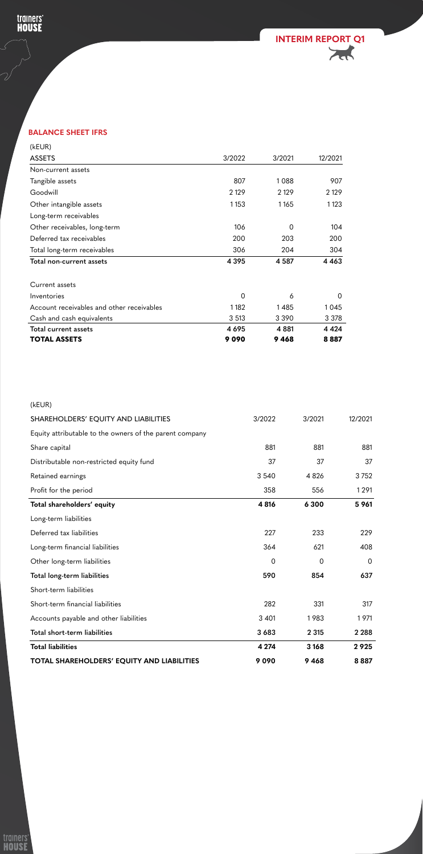

# **BALANCE SHEET IFRS**

trainers'<br>HOUSE

 $\bigcup$ 

V

| (kEUR)                                    |                |                |          |
|-------------------------------------------|----------------|----------------|----------|
| <b>ASSETS</b>                             | 3/2022         | 3/2021         | 12/2021  |
| Non-current assets                        |                |                |          |
| Tangible assets                           | 807            | 1088           | 907      |
| Goodwill                                  | 2 1 2 9        | 2 1 2 9        | 2 1 2 9  |
| Other intangible assets                   | 1153           | 1165           | 1 1 2 3  |
| Long-term receivables                     |                |                |          |
| Other receivables, long-term              | 106            | $\overline{0}$ | 104      |
| Deferred tax receivables                  | 200            | 203            | 200      |
| Total long-term receivables               | 306            | 204            | 304      |
| Total non-current assets                  | 4 3 9 5        | 4 5 8 7        | 4 4 6 3  |
| Current assets                            |                |                |          |
| Inventories                               | $\overline{0}$ | 6              | $\Omega$ |
| Account receivables and other receivables | 1182           | 1485           | 1045     |
| Cash and cash equivalents                 | 3 5 1 3        | 3 3 9 0        | 3 3 7 8  |
| Total current assets                      | 4 6 9 5        | 4 8 8 1        | 4 4 2 4  |
| <b>TOTAL ASSETS</b>                       | 9090           | 9468           | 8887     |

| (kEUR)                                                  |        |        |         |
|---------------------------------------------------------|--------|--------|---------|
| SHAREHOLDERS' EQUITY AND LIABILITIES                    | 3/2022 | 3/2021 | 12/2021 |
| Equity attributable to the owners of the parent company |        |        |         |
| Share capital                                           | 881    | 881    | 881     |

| Distributable non-restricted equity fund          | 37             | 37             | 37             |
|---------------------------------------------------|----------------|----------------|----------------|
| Retained earnings                                 | 3 5 4 0        | 4 8 2 6        | 3752           |
| Profit for the period                             | 358            | 556            | 1291           |
| Total shareholders' equity                        | 4 8 16         | 6 3 0 0        | 5 9 61         |
| Long-term liabilities                             |                |                |                |
| Deferred tax liabilities                          | 227            | 233            | 229            |
| Long-term financial liabilities                   | 364            | 621            | 408            |
| Other long-term liabilities                       | $\overline{0}$ | $\overline{0}$ | $\overline{0}$ |
| Total long-term liabilities                       | 590            | 854            | 637            |
| Short-term liabilities                            |                |                |                |
| Short-term financial liabilities                  | 282            | 331            | 317            |
| Accounts payable and other liabilities            | 3 4 0 1        | 1983           | 1971           |
| Total short-term liabilities                      | 3683           | 2 3 1 5        | 2 2 8 8        |
| <b>Total liabilities</b>                          | 4 2 7 4        | 3 1 6 8        | 2925           |
| <b>TOTAL SHAREHOLDERS' EQUITY AND LIABILITIES</b> | 9090           | 9468           | 8887           |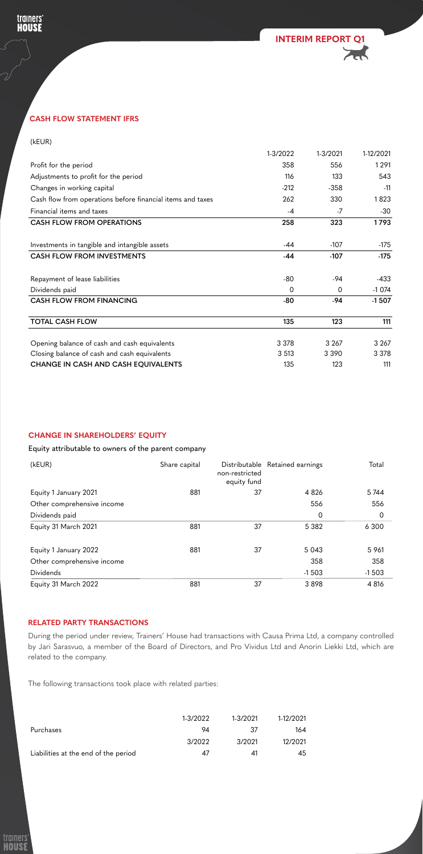# **CASH FLOW STATEMENT IFRS**



### (kEUR)

trainers'<br>HOUSE

S

|                                                            | 1-3/2022       | 1-3/2021       | 1-12/2021 |
|------------------------------------------------------------|----------------|----------------|-----------|
| Profit for the period                                      | 358            | 556            | 1291      |
| Adjustments to profit for the period                       | 116            | 133            | 543       |
| Changes in working capital                                 | $-212$         | $-358$         | $-11$     |
| Cash flow from operations before financial items and taxes | 262            | 330            | 1823      |
| Financial items and taxes                                  | $-4$           | $-7$           | $-30$     |
| <b>CASH FLOW FROM OPERATIONS</b>                           | 258            | 323            | 1793      |
| Investments in tangible and intangible assets              | $-44$          | $-107$         | $-175$    |
| <b>CASH FLOW FROM INVESTMENTS</b>                          | $-44$          | $-107$         | $-175$    |
| Repayment of lease liabilities                             | $-80$          | $-94$          | $-433$    |
| Dividends paid                                             | $\overline{0}$ | $\overline{0}$ | $-1074$   |
| <b>CASH FLOW FROM FINANCING</b>                            | $-80$          | $-94$          | $-1507$   |
| <b>TOTAL CASH FLOW</b>                                     | 135            | 123            | 111       |
| Opening balance of cash and cash equivalents               | 3 3 7 8        | 3 2 6 7        | 3 2 6 7   |
| Closing balance of cash and cash equivalents               | 3 5 1 3        | 3 3 9 0        | 3 3 7 8   |
| <b>CHANGE IN CASH AND CASH EQUIVALENTS</b>                 | 135            | 123            | 111       |

# **CHANGE IN SHAREHOLDERS' EQUITY**

Equity attributable to owners of the parent company

| (kEUR)                     | Share capital | Distributable<br>non-restricted<br>equity fund | Retained earnings | Total          |
|----------------------------|---------------|------------------------------------------------|-------------------|----------------|
| Equity 1 January 2021      | 881           | 37                                             | 4 8 2 6           | 5744           |
| Other comprehensive income |               |                                                | 556               | 556            |
| Dividends paid             |               |                                                | $\mathbf 0$       | $\overline{0}$ |
| Equity 31 March 2021       | 881           | 37                                             | 5 3 8 2           | 6 3 0 0        |
| Equity 1 January 2022      | 881           | 37                                             | 5 0 4 3           | 5 9 61         |
| Other comprehensive income |               |                                                | 358               | 358            |
| <b>Dividends</b>           |               |                                                | $-1503$           | $-1503$        |
| Equity 31 March 2022       | 881           | 37                                             | 3898              | 4 8 16         |

# **RELATED PARTY TRANSACTIONS**

During the period under review, Trainers' House had transactions with Causa Prima Ltd, a company controlled by Jari Sarasvuo, a member of the Board of Directors, and Pro Vividus Ltd and Anorin Liekki Ltd, which are related to the company.

The following transactions took place with related parties:

|                                      | 1-3/2022 | 1-3/2021 | 1-12/2021 |
|--------------------------------------|----------|----------|-----------|
| Purchases                            | 94       | -37      | 164       |
|                                      | 3/2022   | 3/2021   | 12/2021   |
| Liabilities at the end of the period | 47       | 41       | 45        |